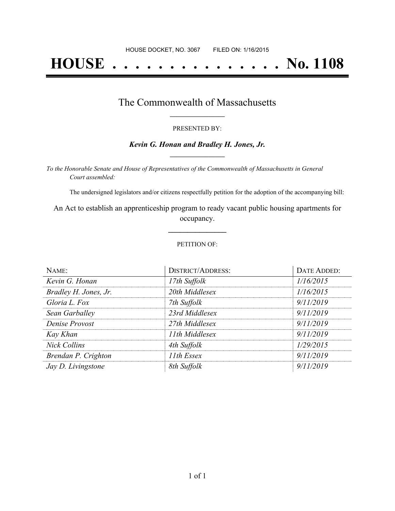# **HOUSE . . . . . . . . . . . . . . . No. 1108**

### The Commonwealth of Massachusetts **\_\_\_\_\_\_\_\_\_\_\_\_\_\_\_\_\_**

#### PRESENTED BY:

#### *Kevin G. Honan and Bradley H. Jones, Jr.* **\_\_\_\_\_\_\_\_\_\_\_\_\_\_\_\_\_**

*To the Honorable Senate and House of Representatives of the Commonwealth of Massachusetts in General Court assembled:*

The undersigned legislators and/or citizens respectfully petition for the adoption of the accompanying bill:

An Act to establish an apprenticeship program to ready vacant public housing apartments for occupancy.

**\_\_\_\_\_\_\_\_\_\_\_\_\_\_\_**

#### PETITION OF:

| NAME:                 | DISTRICT/ADDRESS: | DATE ADDED: |
|-----------------------|-------------------|-------------|
| Kevin G. Honan        | 17th Suffolk      | 1/16/2015   |
| Bradley H. Jones, Jr. | 20th Middlesex    | 1/16/2015   |
| Gloria L. Fox         | 7th Suffolk       | 9/11/2019   |
| Sean Garballey        | 23rd Middlesex    | 9/11/2019   |
| Denise Provost        | 27th Middlesex    | 9/11/2019   |
| Kay Khan              | 11th Middlesex    | 9/11/2019   |
| <b>Nick Collins</b>   | 4th Suffolk       | 1/29/2015   |
| Brendan P. Crighton   | 11th Essex        | 9/11/2019   |
| Jay D. Livingstone    | 8th Suffolk       | 9/11/2019   |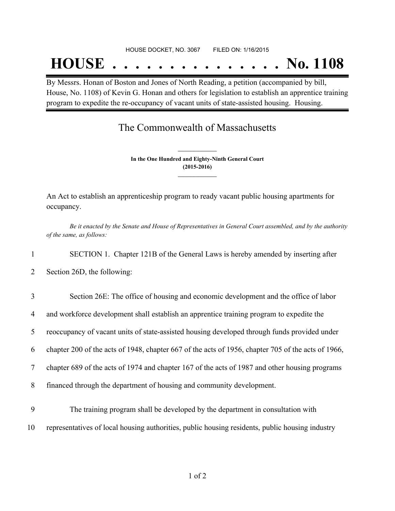#### HOUSE DOCKET, NO. 3067 FILED ON: 1/16/2015

## **HOUSE . . . . . . . . . . . . . . . No. 1108**

By Messrs. Honan of Boston and Jones of North Reading, a petition (accompanied by bill, House, No. 1108) of Kevin G. Honan and others for legislation to establish an apprentice training program to expedite the re-occupancy of vacant units of state-assisted housing. Housing.

## The Commonwealth of Massachusetts

**In the One Hundred and Eighty-Ninth General Court (2015-2016) \_\_\_\_\_\_\_\_\_\_\_\_\_\_\_**

**\_\_\_\_\_\_\_\_\_\_\_\_\_\_\_**

An Act to establish an apprenticeship program to ready vacant public housing apartments for occupancy.

Be it enacted by the Senate and House of Representatives in General Court assembled, and by the authority *of the same, as follows:*

1 SECTION 1. Chapter 121B of the General Laws is hereby amended by inserting after

2 Section 26D, the following:

| $\overline{3}$ | Section 26E: The office of housing and economic development and the office of labor                |
|----------------|----------------------------------------------------------------------------------------------------|
| 4              | and workforce development shall establish an apprentice training program to expedite the           |
| 5              | reoccupancy of vacant units of state-assisted housing developed through funds provided under       |
| 6              | chapter 200 of the acts of 1948, chapter 667 of the acts of 1956, chapter 705 of the acts of 1966, |
| 7              | chapter 689 of the acts of 1974 and chapter 167 of the acts of 1987 and other housing programs     |
| 8              | financed through the department of housing and community development.                              |
| 9              | The training program shall be developed by the department in consultation with                     |

10 representatives of local housing authorities, public housing residents, public housing industry